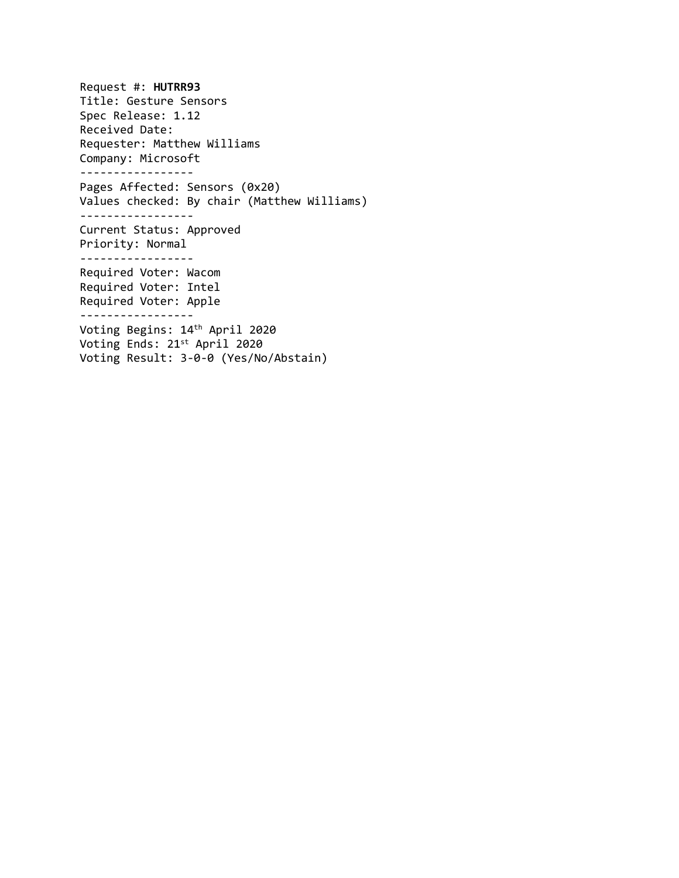Request #: **HUTRR93** Title: Gesture Sensors Spec Release: 1.12 Received Date: Requester: Matthew Williams Company: Microsoft ----------------- Pages Affected: Sensors (0x20) Values checked: By chair (Matthew Williams) ----------------- Current Status: Approved Priority: Normal ----------------- Required Voter: Wacom Required Voter: Intel Required Voter: Apple ----------------- Voting Begins: 14 th April 2020 Voting Ends: 21 st April 2020 Voting Result: 3-0-0 (Yes/No/Abstain)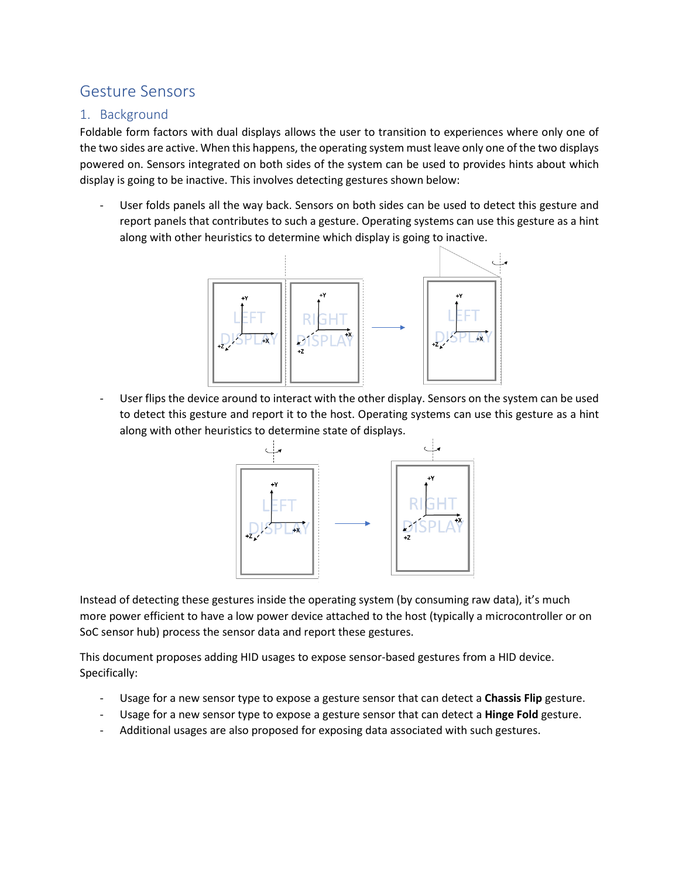# Gesture Sensors

### 1. Background

Foldable form factors with dual displays allows the user to transition to experiences where only one of the two sides are active. When this happens, the operating system must leave only one of the two displays powered on. Sensors integrated on both sides of the system can be used to provides hints about which display is going to be inactive. This involves detecting gestures shown below:

User folds panels all the way back. Sensors on both sides can be used to detect this gesture and report panels that contributes to such a gesture. Operating systems can use this gesture as a hint along with other heuristics to determine which display is going to inactive.



User flips the device around to interact with the other display. Sensors on the system can be used to detect this gesture and report it to the host. Operating systems can use this gesture as a hint along with other heuristics to determine state of displays.



Instead of detecting these gestures inside the operating system (by consuming raw data), it's much more power efficient to have a low power device attached to the host (typically a microcontroller or on SoC sensor hub) process the sensor data and report these gestures.

This document proposes adding HID usages to expose sensor-based gestures from a HID device. Specifically:

- Usage for a new sensor type to expose a gesture sensor that can detect a **Chassis Flip** gesture.
- Usage for a new sensor type to expose a gesture sensor that can detect a **Hinge Fold** gesture.
- Additional usages are also proposed for exposing data associated with such gestures.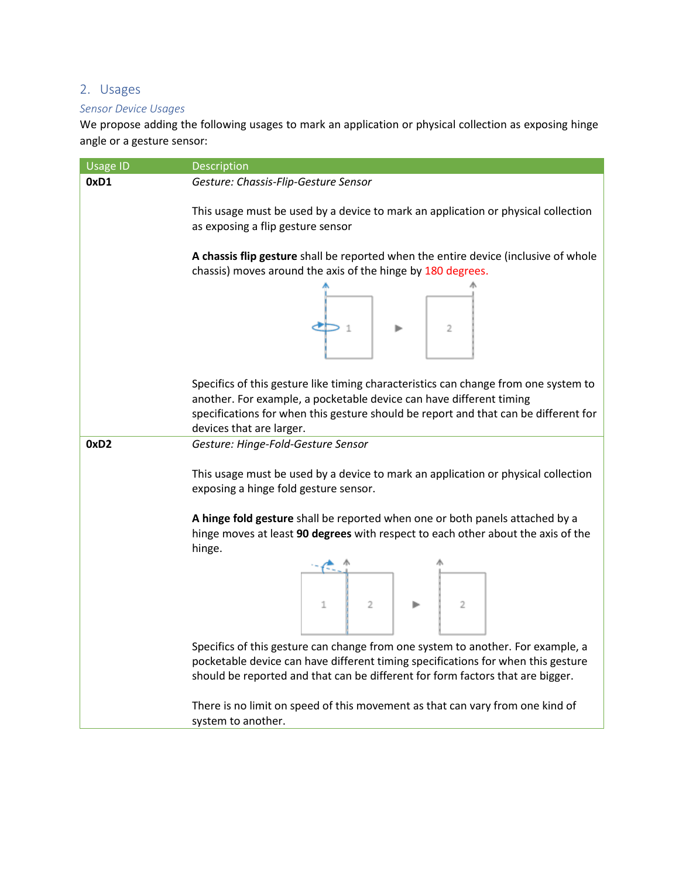## 2. Usages

#### *Sensor Device Usages*

We propose adding the following usages to mark an application or physical collection as exposing hinge angle or a gesture sensor:

| <b>Usage ID</b>  | Description                                                                                                                                                                                                                                                                   |  |  |
|------------------|-------------------------------------------------------------------------------------------------------------------------------------------------------------------------------------------------------------------------------------------------------------------------------|--|--|
| 0xD1             | Gesture: Chassis-Flip-Gesture Sensor                                                                                                                                                                                                                                          |  |  |
|                  | This usage must be used by a device to mark an application or physical collection<br>as exposing a flip gesture sensor<br>A chassis flip gesture shall be reported when the entire device (inclusive of whole<br>chassis) moves around the axis of the hinge by 180 degrees.  |  |  |
|                  |                                                                                                                                                                                                                                                                               |  |  |
|                  | $\overline{2}$                                                                                                                                                                                                                                                                |  |  |
|                  | Specifics of this gesture like timing characteristics can change from one system to<br>another. For example, a pocketable device can have different timing<br>specifications for when this gesture should be report and that can be different for<br>devices that are larger. |  |  |
| 0xD <sub>2</sub> | Gesture: Hinge-Fold-Gesture Sensor                                                                                                                                                                                                                                            |  |  |
|                  | This usage must be used by a device to mark an application or physical collection<br>exposing a hinge fold gesture sensor.                                                                                                                                                    |  |  |
|                  | A hinge fold gesture shall be reported when one or both panels attached by a<br>hinge moves at least 90 degrees with respect to each other about the axis of the<br>hinge.                                                                                                    |  |  |
|                  |                                                                                                                                                                                                                                                                               |  |  |
|                  | $\begin{array}{c c c c c c} \hline \text{array} & & & & \text{array} \\ \hline \text{array} & & & & \text{array} \\ \hline \text{1} & & 2 & & \text{array} \\ \hline \end{array}$                                                                                             |  |  |
|                  |                                                                                                                                                                                                                                                                               |  |  |
|                  | Specifics of this gesture can change from one system to another. For example, a<br>pocketable device can have different timing specifications for when this gesture<br>should be reported and that can be different for form factors that are bigger.                         |  |  |
|                  | There is no limit on speed of this movement as that can vary from one kind of<br>system to another.                                                                                                                                                                           |  |  |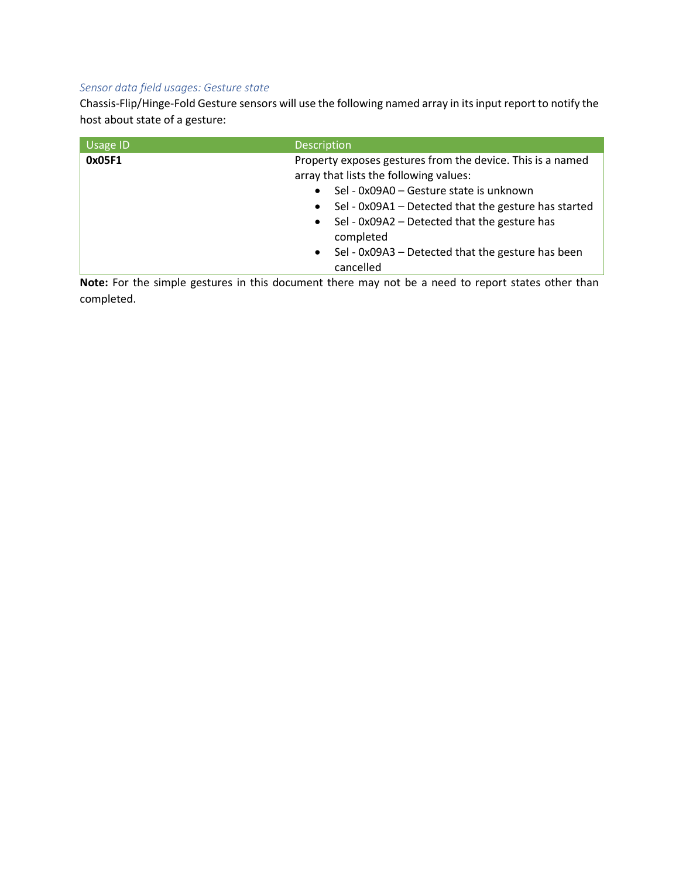#### *Sensor data field usages: Gesture state*

Chassis-Flip/Hinge-Fold Gesture sensors will use the following named array in its input report to notify the host about state of a gesture:

| Usage ID | <b>Description</b>                                                                                   |  |
|----------|------------------------------------------------------------------------------------------------------|--|
| 0x05F1   | Property exposes gestures from the device. This is a named<br>array that lists the following values: |  |
|          | Sel - 0x09A0 - Gesture state is unknown<br>$\bullet$                                                 |  |
|          | Sel - 0x09A1 - Detected that the gesture has started<br>$\bullet$                                    |  |
|          | • Sel - $0x09A2$ – Detected that the gesture has<br>completed                                        |  |
|          | Sel - 0x09A3 - Detected that the gesture has been<br>$\bullet$<br>cancelled                          |  |

Note: For the simple gestures in this document there may not be a need to report states other than completed.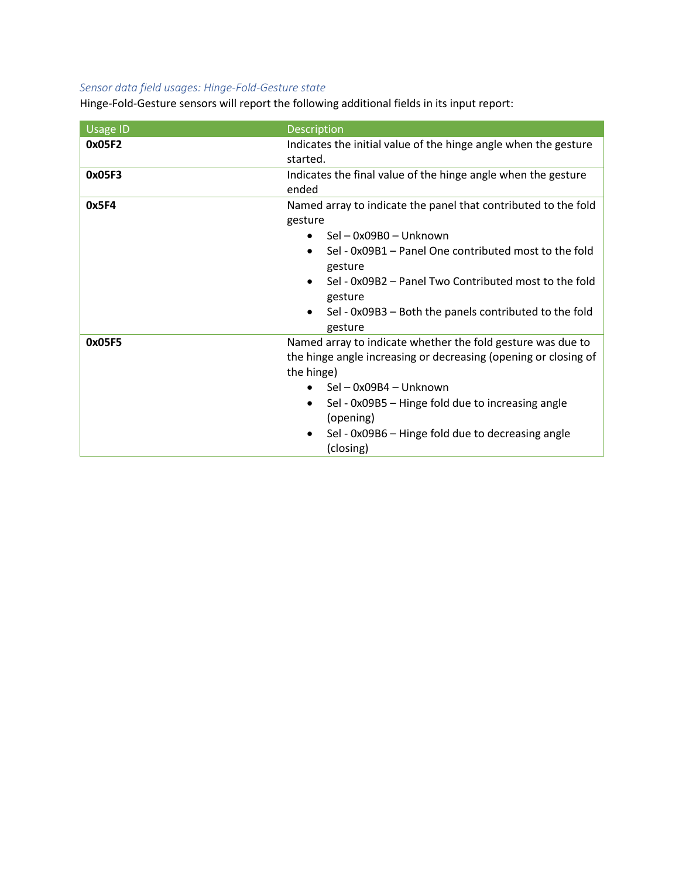### *Sensor data field usages: Hinge-Fold-Gesture state*

Hinge-Fold-Gesture sensors will report the following additional fields in its input report:

| <b>Usage ID</b> | Description                                                                                                                                                                                                                                                                                                      |  |
|-----------------|------------------------------------------------------------------------------------------------------------------------------------------------------------------------------------------------------------------------------------------------------------------------------------------------------------------|--|
| 0x05F2          | Indicates the initial value of the hinge angle when the gesture<br>started.                                                                                                                                                                                                                                      |  |
| 0x05F3          | Indicates the final value of the hinge angle when the gesture<br>ended                                                                                                                                                                                                                                           |  |
| 0x5F4           | Named array to indicate the panel that contributed to the fold<br>gesture<br>Sel – 0x09B0 – Unknown<br>Sel - 0x09B1 - Panel One contributed most to the fold<br>gesture<br>Sel - 0x09B2 - Panel Two Contributed most to the fold<br>gesture<br>Sel - 0x09B3 - Both the panels contributed to the fold<br>gesture |  |
| 0x05F5          | Named array to indicate whether the fold gesture was due to<br>the hinge angle increasing or decreasing (opening or closing of<br>the hinge)<br>Sel - 0x09B4 - Unknown<br>Sel - 0x09B5 - Hinge fold due to increasing angle<br>(opening)<br>Sel - 0x09B6 - Hinge fold due to decreasing angle<br>(closing)       |  |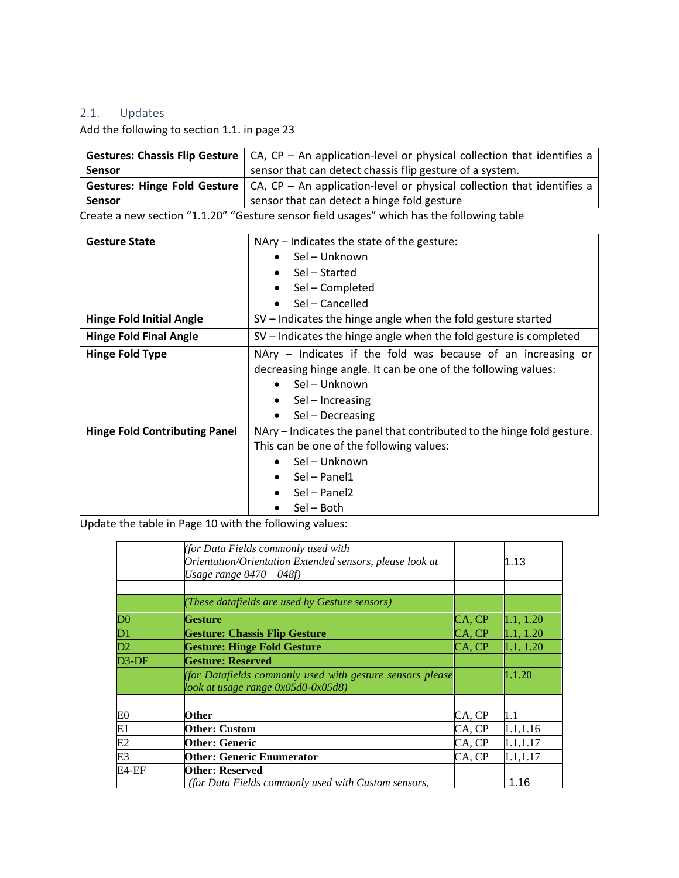### 2.1. Updates

Add the following to section 1.1. in page 23

|               | <b>Gestures: Chassis Flip Gesture</b> $\vert$ CA, CP – An application-level or physical collection that identifies a |
|---------------|----------------------------------------------------------------------------------------------------------------------|
| <b>Sensor</b> | sensor that can detect chassis flip gesture of a system.                                                             |
|               | <b>Gestures: Hinge Fold Gesture</b> $  CA$ , CP – An application-level or physical collection that identifies a      |
| <b>Sensor</b> | sensor that can detect a hinge fold gesture                                                                          |

Create a new section "1.1.20" "Gesture sensor field usages" which has the following table

| <b>Gesture State</b>                 | NAry – Indicates the state of the gesture:                             |
|--------------------------------------|------------------------------------------------------------------------|
|                                      | Sel - Unknown<br>$\bullet$                                             |
|                                      | Sel – Started<br>$\bullet$                                             |
|                                      | Sel - Completed<br>$\bullet$                                           |
|                                      | Sel - Cancelled                                                        |
| <b>Hinge Fold Initial Angle</b>      | SV – Indicates the hinge angle when the fold gesture started           |
| <b>Hinge Fold Final Angle</b>        | SV – Indicates the hinge angle when the fold gesture is completed      |
| <b>Hinge Fold Type</b>               | NAry - Indicates if the fold was because of an increasing or           |
|                                      | decreasing hinge angle. It can be one of the following values:         |
|                                      | Sel - Unknown<br>$\bullet$                                             |
|                                      | Sel - Increasing<br>$\bullet$                                          |
|                                      | Sel - Decreasing<br>$\bullet$                                          |
| <b>Hinge Fold Contributing Panel</b> | NAry – Indicates the panel that contributed to the hinge fold gesture. |
|                                      | This can be one of the following values:                               |
|                                      | Sel - Unknown                                                          |
|                                      | Sel - Panel1<br>$\bullet$                                              |
|                                      | Sel - Panel2                                                           |
|                                      | Sel - Both<br>$\bullet$                                                |

Update the table in Page 10 with the following values:

|                    | (for Data Fields commonly used with<br>Orientation/Orientation Extended sensors, please look at<br>Usage range $0470 - 048f$ |        | 1.13      |
|--------------------|------------------------------------------------------------------------------------------------------------------------------|--------|-----------|
|                    |                                                                                                                              |        |           |
|                    | (These datafields are used by Gesture sensors)                                                                               |        |           |
| $\overline{D0}$    | Gesture                                                                                                                      | CA, CP | 1.1, 1.20 |
| $\mathbf{D}1$      | <b>Gesture: Chassis Flip Gesture</b>                                                                                         | CA, CP | 1.1, 1.20 |
| $\overline{D2}$    | <b>Gesture: Hinge Fold Gesture</b>                                                                                           | CA, CP | 1.1, 1.20 |
| D <sub>3</sub> -DF | <b>Gesture: Reserved</b>                                                                                                     |        |           |
|                    | (for Datafields commonly used with gesture sensors please<br>look at usage range 0x05d0-0x05d8)                              |        | 1.1.20    |
|                    |                                                                                                                              |        |           |
| E <sub>0</sub>     | Other                                                                                                                        | CA, CP | 1.1       |
|                    | <b>Other: Custom</b>                                                                                                         | CA, CP | 1.1, 1.16 |
| E1<br>E2           | <b>Other: Generic</b>                                                                                                        | CA, CP | 1.1,1.17  |
| E3                 | <b>Other: Generic Enumerator</b>                                                                                             | CA, CP | 1.1,1.17  |
| E4-EF              | Other: Reserved                                                                                                              |        |           |
|                    | (for Data Fields commonly used with Custom sensors,                                                                          |        | 1.16      |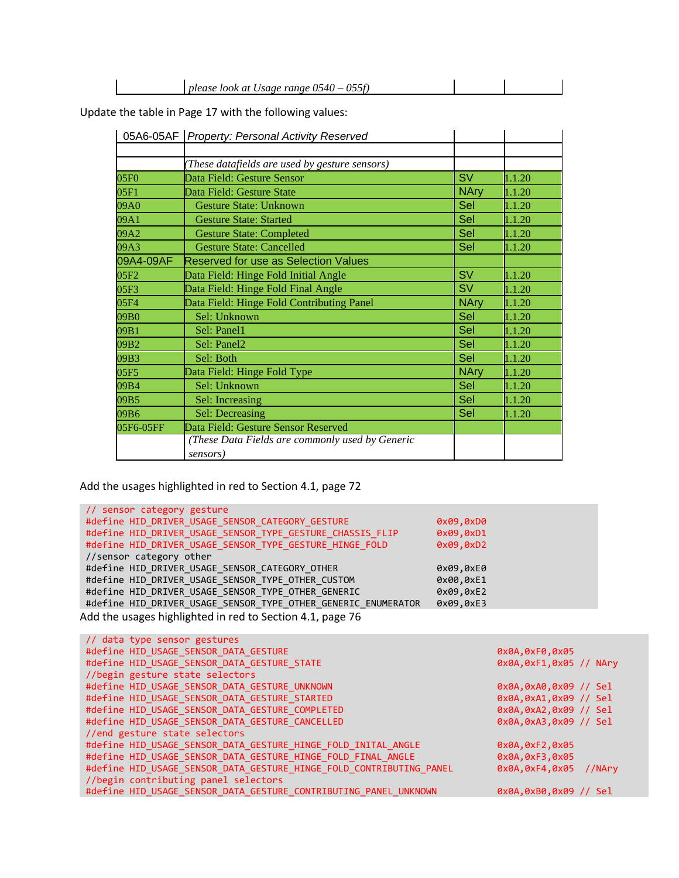| at<br>ranoe<br><i>LOOK</i><br>וובר<br>sage<br>. .<br>77.NE<br>. .<br>ັ | $ \alpha$<br>please |  |  |
|------------------------------------------------------------------------|---------------------|--|--|
|------------------------------------------------------------------------|---------------------|--|--|

Update the table in Page 17 with the following values:

|                  | 05A6-05AF   Property: Personal Activity Reserved |             |        |
|------------------|--------------------------------------------------|-------------|--------|
|                  |                                                  |             |        |
|                  | These datafields are used by gesture sensors)    |             |        |
| 05F <sub>0</sub> | Data Field: Gesture Sensor                       | <b>SV</b>   | 1.1.20 |
| 05F1             | Data Field: Gesture State                        | <b>NAry</b> | 1.1.20 |
| 09A0             | <b>Gesture State: Unknown</b>                    | Sel         | 1.1.20 |
| 09A1             | <b>Gesture State: Started</b>                    | Sel         | 1.1.20 |
| 09A2             | <b>Gesture State: Completed</b>                  | Sel         | 1.1.20 |
| 09A3             | <b>Gesture State: Cancelled</b>                  | Sel         | 1.1.20 |
| 09A4-09AF        | <b>Reserved for use as Selection Values</b>      |             |        |
| 05F <sub>2</sub> | Data Field: Hinge Fold Initial Angle             | <b>SV</b>   | 1.1.20 |
| 05F3             | Data Field: Hinge Fold Final Angle               | <b>SV</b>   | 1.1.20 |
| 05F4             | Data Field: Hinge Fold Contributing Panel        | <b>NAry</b> | 1.1.20 |
| 09B0             | Sel: Unknown                                     | Sel         | 1.1.20 |
| 09B1             | Sel: Panel1                                      | Sel         | 1.1.20 |
| 09B <sub>2</sub> | Sel: Panel2                                      | Sel         | 1.1.20 |
| 09B3             | Sel: Both                                        | Sel         | 1.1.20 |
| 05F5             | Data Field: Hinge Fold Type                      | <b>NAry</b> | 1.1.20 |
| 09B4             | Sel: Unknown                                     | Sel         | 1.1.20 |
| 09B5             | Sel: Increasing                                  | Sel         | 1.1.20 |
| 09B6             | Sel: Decreasing                                  | Sel         | 1.1.20 |
| 05F6-05FF        | Data Field: Gesture Sensor Reserved              |             |        |
|                  | (These Data Fields are commonly used by Generic  |             |        |
|                  | sensors)                                         |             |        |

Add the usages highlighted in red to Section 4.1, page 72

| // sensor category gesture                                    |           |
|---------------------------------------------------------------|-----------|
| #define HID DRIVER USAGE SENSOR CATEGORY GESTURE              | 0x09,0xD0 |
| #define HID DRIVER USAGE SENSOR TYPE GESTURE CHASSIS FLIP     | 0x09,0xD1 |
| #define HID DRIVER USAGE SENSOR TYPE GESTURE HINGE FOLD       | 0x09,0xD2 |
| //sensor category other                                       |           |
| #define HID DRIVER USAGE SENSOR CATEGORY OTHER                | 0x09,0xE0 |
| #define HID DRIVER USAGE SENSOR TYPE OTHER CUSTOM             | 0x00,0xE1 |
| #define HID DRIVER USAGE SENSOR TYPE OTHER GENERIC            | 0x09,0xE2 |
| #define HID DRIVER USAGE SENSOR TYPE OTHER GENERIC ENUMERATOR | 0x09,0xE3 |
| Add the usages highlighted in red to Section 4.1, page 76     |           |

| // data type sensor gestures                                        |                            |
|---------------------------------------------------------------------|----------------------------|
| #define HID USAGE SENSOR DATA GESTURE                               | 0x0A, 0xF0, 0x05           |
| #define HID USAGE SENSOR DATA GESTURE STATE                         | $0x0A, 0xF1, 0x05$ // NAry |
| //begin gesture state selectors                                     |                            |
| #define HID USAGE SENSOR DATA GESTURE UNKNOWN                       | 0x0A,0xA0,0x09 // Sel      |
| #define HID USAGE SENSOR DATA GESTURE STARTED                       | 0x0A, 0xA1, 0x09 // Sel    |
| #define HID USAGE SENSOR DATA GESTURE COMPLETED                     | 0x0A,0xA2,0x09 // Sel      |
| #define HID USAGE SENSOR DATA GESTURE CANCELLED                     | 0x0A, 0xA3, 0x09 // Sel    |
| //end gesture state selectors                                       |                            |
| #define HID USAGE_SENSOR_DATA_GESTURE_HINGE_FOLD_INITAL_ANGLE       | 0x0A, 0xF2, 0x05           |
| #define HID USAGE SENSOR DATA GESTURE HINGE FOLD FINAL ANGLE        | 0x0A, 0xF3, 0x05           |
| #define HID USAGE SENSOR DATA GESTURE HINGE FOLD CONTRIBUTING PANEL | $0x0A, 0xF4, 0x05$ //NAry  |
| //begin contributing panel selectors                                |                            |
| #define HID USAGE SENSOR DATA GESTURE CONTRIBUTING PANEL UNKNOWN    | 0x0A,0xB0,0x09 // Sel      |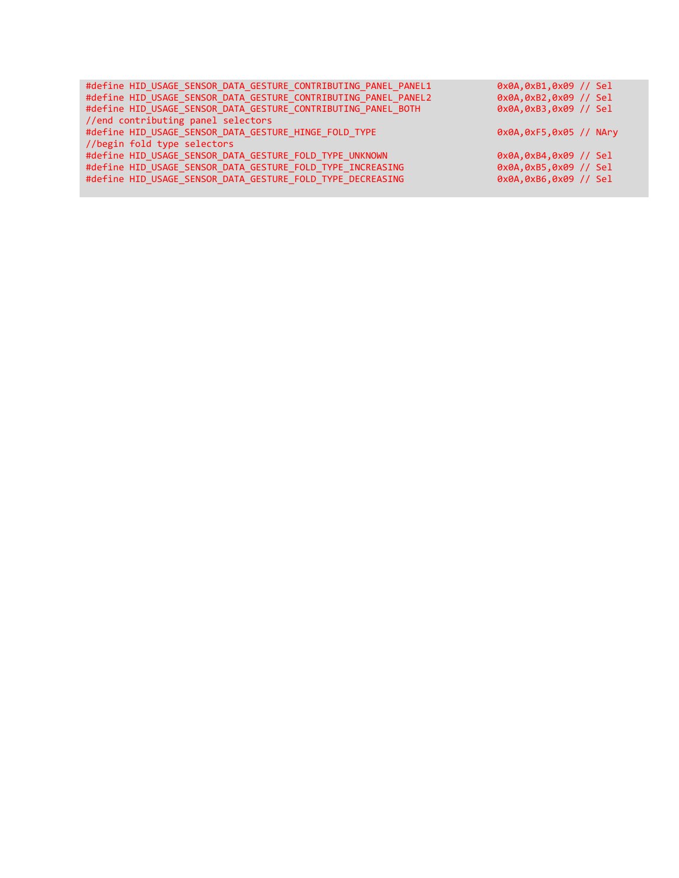| #define HID USAGE SENSOR DATA GESTURE CONTRIBUTING PANEL PANEL1 | 0x0A, 0xB1, 0x09 // Sel    |
|-----------------------------------------------------------------|----------------------------|
| #define HID USAGE SENSOR DATA GESTURE CONTRIBUTING PANEL PANEL2 | 0x0A,0xB2,0x09 // Sel      |
| #define HID USAGE SENSOR DATA GESTURE CONTRIBUTING PANEL BOTH   | 0x0A, 0xB3, 0x09 // Sel    |
| //end contributing panel selectors                              |                            |
| #define HID USAGE SENSOR DATA GESTURE HINGE FOLD TYPE           | $0x0A, 0xF5, 0x05$ // NAry |
| //begin fold type selectors                                     |                            |
| #define HID USAGE SENSOR DATA GESTURE FOLD TYPE UNKNOWN         | 0x0A,0xB4,0x09 // Sel      |
| #define HID USAGE SENSOR DATA GESTURE FOLD TYPE INCREASING      | 0x0A, 0xB5, 0x09 // Sel    |
| #define HID USAGE SENSOR DATA GESTURE FOLD TYPE DECREASING      | 0x0A,0xB6,0x09 // Sel      |
|                                                                 |                            |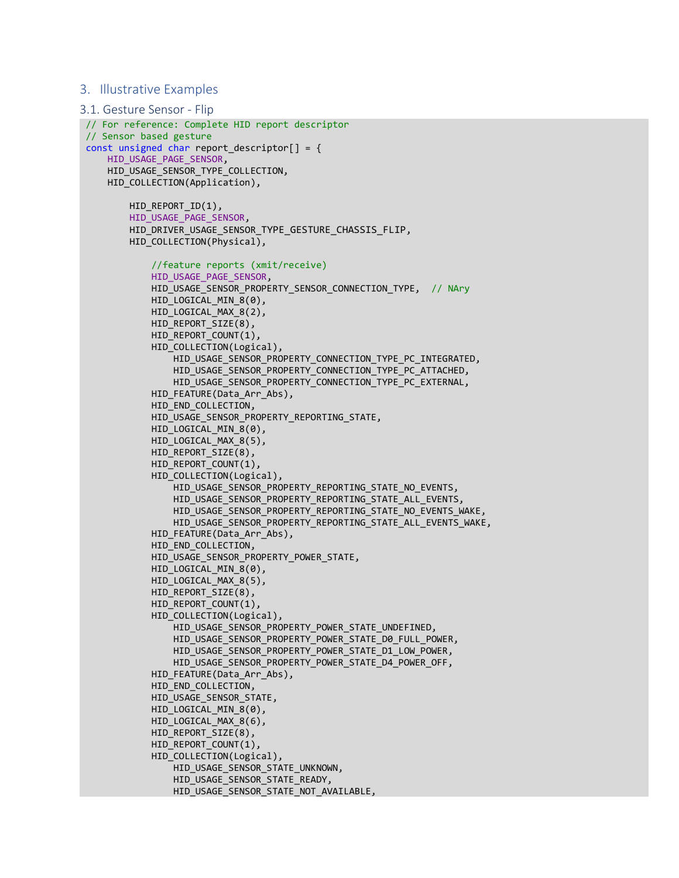#### 3. Illustrative Examples

```
3.1. Gesture Sensor - Flip
// For reference: Complete HID report descriptor
 // Sensor based gesture
 const unsigned char report descriptor[ ] = { } HID_USAGE_PAGE_SENSOR,
      HID_USAGE_SENSOR_TYPE_COLLECTION,
      HID_COLLECTION(Application),
          HID_REPORT_ID(1),
          HID_USAGE_PAGE_SENSOR,
          HID_DRIVER_USAGE_SENSOR_TYPE_GESTURE_CHASSIS_FLIP,
          HID_COLLECTION(Physical),
              //feature reports (xmit/receive)
              HID_USAGE_PAGE_SENSOR,
              HID_USAGE_SENSOR_PROPERTY_SENSOR_CONNECTION_TYPE, // NAry
             HID_LOGICAL_MIN_8(0),
             HID LOGICAL MAX 8(2),
             HID_REPORT_SIZE(8),
             HID_REPORT_COUNT(1),
             HID COLLECTION(Logical),
                 HID USAGE SENSOR PROPERTY CONNECTION TYPE PC INTEGRATED,
                  HID_USAGE_SENSOR_PROPERTY_CONNECTION_TYPE_PC_ATTACHED,
                  HID_USAGE_SENSOR_PROPERTY_CONNECTION_TYPE_PC_EXTERNAL,
             HID FEATURE(Data Arr Abs),
             HID END COLLECTION,
             HID USAGE SENSOR PROPERTY REPORTING STATE,
              HID_LOGICAL_MIN_8(0),
             HID LOGICAL MAX 8(5),
              HID_REPORT_SIZE(8),
              HID_REPORT_COUNT(1),
              HID_COLLECTION(Logical),
                  HID_USAGE_SENSOR_PROPERTY_REPORTING_STATE_NO_EVENTS,
                  HID_USAGE_SENSOR_PROPERTY_REPORTING_STATE_ALL_EVENTS,
                  HID_USAGE_SENSOR_PROPERTY_REPORTING_STATE_NO_EVENTS_WAKE,
                 HID USAGE SENSOR PROPERTY REPORTING STATE ALL EVENTS WAKE,
              HID_FEATURE(Data_Arr_Abs),
             HID END_COLLECTION,
             HID USAGE SENSOR PROPERTY POWER STATE,
             HID LOGICAL MIN 8(0),
             HID LOGICAL MAX 8(5),
              HID_REPORT_SIZE(8),
              HID_REPORT_COUNT(1),
              HID_COLLECTION(Logical),
                  HID_USAGE_SENSOR_PROPERTY_POWER_STATE_UNDEFINED,
                  HID_USAGE_SENSOR_PROPERTY_POWER_STATE_D0_FULL_POWER,
                  HID_USAGE_SENSOR_PROPERTY_POWER_STATE_D1_LOW_POWER,
                  HID_USAGE_SENSOR_PROPERTY_POWER_STATE_D4_POWER_OFF,
              HID_FEATURE(Data_Arr_Abs),
              HID_END_COLLECTION,
              HID_USAGE_SENSOR_STATE,
              HID_LOGICAL_MIN_8(0),
              HID_LOGICAL_MAX_8(6),
              HID_REPORT_SIZE(8),
              HID_REPORT_COUNT(1),
             HID COLLECTION(Logical),
                  HID_USAGE_SENSOR_STATE_UNKNOWN,
                  HID_USAGE_SENSOR_STATE_READY,
                 HID USAGE SENSOR STATE NOT AVAILABLE,
```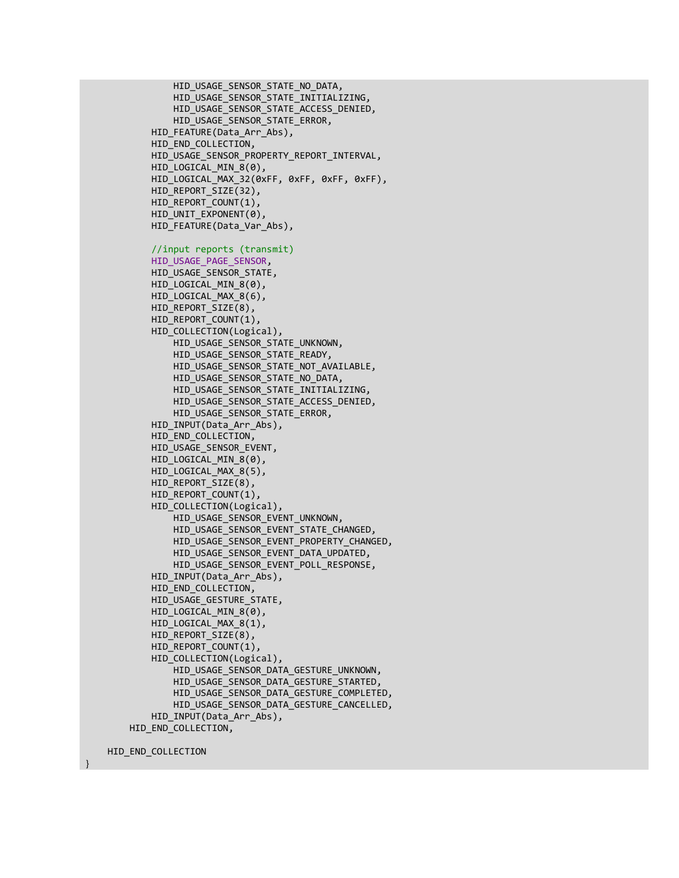```
 HID_USAGE_SENSOR_STATE_NO_DATA,
         HID_USAGE_SENSOR_STATE_INITIALIZING,
         HID_USAGE_SENSOR_STATE_ACCESS_DENIED,
         HID_USAGE_SENSOR_STATE_ERROR,
     HID_FEATURE(Data_Arr_Abs),
    HID END COLLECTION,
    HID_USAGE_SENSOR_PROPERTY_REPORT_INTERVAL,
    HID LOGICAL MIN 8(0),
    HID LOGICAL MAX 32(0xFF, 0xFF, 0xFF, 0xFF),
    HID_REPORT_SIZE(32),
    HID_REPORT_COUNT(1),
     HID_UNIT_EXPONENT(0),
     HID_FEATURE(Data_Var_Abs),
     //input reports (transmit)
    HID_USAGE_PAGE_SENSOR,
     HID_USAGE_SENSOR_STATE,
     HID_LOGICAL_MIN_8(0),
     HID_LOGICAL_MAX_8(6),
    HID REPORT SIZE(8),
    HID_REPORT_COUNT(1),
     HID_COLLECTION(Logical),
         HID_USAGE_SENSOR_STATE_UNKNOWN,
        HID_USAGE_SENSOR_STATE_READY,
         HID_USAGE_SENSOR_STATE_NOT_AVAILABLE,
        HID_USAGE_SENSOR_STATE_NO_DATA,
        HID_USAGE_SENSOR_STATE_INITIALIZING,
        HID_USAGE_SENSOR_STATE_ACCESS_DENIED,
         HID_USAGE_SENSOR_STATE_ERROR,
     HID_INPUT(Data_Arr_Abs),
     HID_END_COLLECTION,
     HID_USAGE_SENSOR_EVENT,
     HID_LOGICAL_MIN_8(0),
    HID LOGICAL_MAX_8(5),
    HID REPORT SIZE(8),
     HID_REPORT_COUNT(1),
     HID_COLLECTION(Logical),
        HID_USAGE_SENSOR_EVENT_UNKNOWN,
        HID_USAGE_SENSOR_EVENT_STATE_CHANGED,
        HID_USAGE_SENSOR_EVENT_PROPERTY_CHANGED,
        HID_USAGE_SENSOR_EVENT_DATA_UPDATED,
        HID_USAGE_SENSOR_EVENT_POLL_RESPONSE,
    HID INPUT(Data_Arr_Abs),
    HID END COLLECTION,
    HID_USAGE_GESTURE_STATE,
    HID LOGICAL MIN 8(0),
    HID LOGICAL MAX 8(1),
    HID REPORT SIZE(8),
    HID_REPORT_COUNT(1),
    HID_COLLECTION(Logical),
        HID_USAGE_SENSOR_DATA_GESTURE_UNKNOWN,
        HID_USAGE_SENSOR_DATA_GESTURE_STARTED,
        HID USAGE SENSOR DATA GESTURE COMPLETED,
        HID USAGE SENSOR DATA GESTURE CANCELLED,
    HID INPUT(Data Arr Abs),
HID END COLLECTION,
```
HID END COLLECTION

}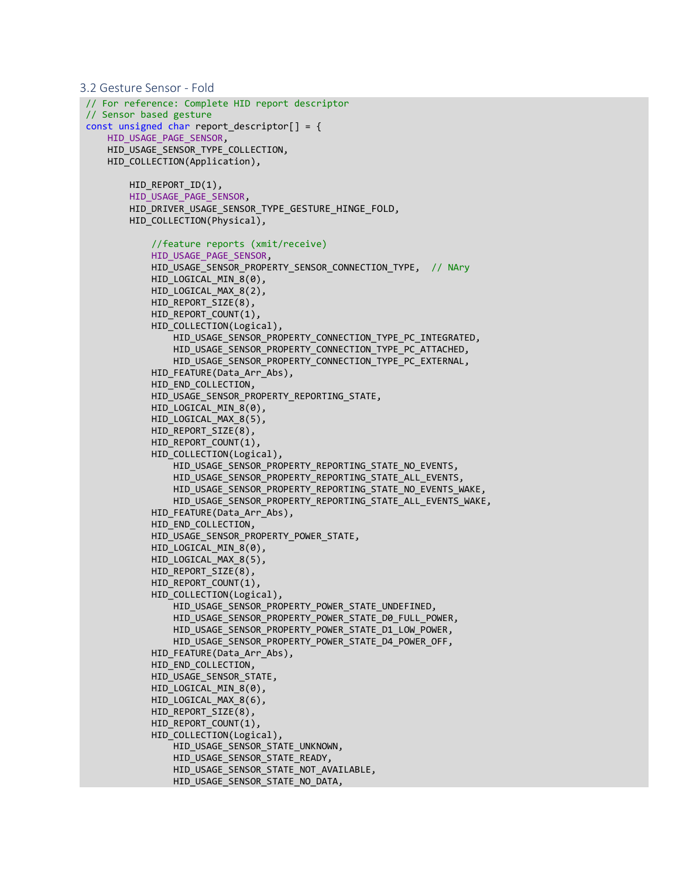```
3.2 Gesture Sensor - Fold
// For reference: Complete HID report descriptor
 // Sensor based gesture
 const unsigned char report_descriptor[] = {
      HID_USAGE_PAGE_SENSOR,
     HID USAGE SENSOR TYPE COLLECTION,
     HID COLLECTION(Application),
         HID REPORT ID(1),
         HID_USAGE_PAGE_SENSOR,
          HID_DRIVER_USAGE_SENSOR_TYPE_GESTURE_HINGE_FOLD,
         HID COLLECTION(Physical),
              //feature reports (xmit/receive)
              HID_USAGE_PAGE_SENSOR,
              HID_USAGE_SENSOR_PROPERTY_SENSOR_CONNECTION_TYPE, // NAry
              HID_LOGICAL_MIN_8(0),
              HID_LOGICAL_MAX_8(2),
              HID_REPORT_SIZE(8),
              HID_REPORT_COUNT(1),
              HID_COLLECTION(Logical),
                  HID_USAGE_SENSOR_PROPERTY_CONNECTION_TYPE_PC_INTEGRATED,
                  HID_USAGE_SENSOR_PROPERTY_CONNECTION_TYPE_PC_ATTACHED,
                  HID_USAGE_SENSOR_PROPERTY_CONNECTION_TYPE_PC_EXTERNAL,
              HID_FEATURE(Data_Arr_Abs),
              HID_END_COLLECTION,
              HID_USAGE_SENSOR_PROPERTY_REPORTING_STATE,
             HID_LOGICAL_MIN_8(0),
             HID_LOGICAL_MAX_8(5),
             HID_REPORT_SIZE(8),
             HID_REPORT_COUNT(1),
             HID COLLECTION(Logical),
                  HID_USAGE_SENSOR_PROPERTY_REPORTING_STATE_NO_EVENTS,
                  HID_USAGE_SENSOR_PROPERTY_REPORTING_STATE_ALL_EVENTS,
                  HID_USAGE_SENSOR_PROPERTY_REPORTING_STATE_NO_EVENTS_WAKE,
                  HID_USAGE_SENSOR_PROPERTY_REPORTING_STATE_ALL_EVENTS_WAKE,
              HID_FEATURE(Data_Arr_Abs),
              HID_END_COLLECTION,
              HID_USAGE_SENSOR_PROPERTY_POWER_STATE,
              HID_LOGICAL_MIN_8(0),
              HID_LOGICAL_MAX_8(5),
             HID_REPORT_SIZE(8),
              HID_REPORT_COUNT(1),
              HID_COLLECTION(Logical),
                 HID USAGE SENSOR PROPERTY POWER STATE UNDEFINED,
                 HID USAGE SENSOR PROPERTY POWER STATE D0 FULL POWER,
                  HID_USAGE_SENSOR_PROPERTY_POWER_STATE_D1_LOW_POWER,
                 HID_USAGE_SENSOR_PROPERTY_POWER_STATE_D4_POWER_OFF,
             HID FEATURE(Data Arr Abs),
             HID END COLLECTION,
             HID_USAGE_SENSOR_STATE,
             HID LOGICAL MIN 8(0),
             HID LOGICAL MAX 8(6),
             HID_REPORT_SIZE(8),
              HID_REPORT_COUNT(1),
              HID_COLLECTION(Logical),
                  HID_USAGE_SENSOR_STATE_UNKNOWN,
                 HID_USAGE_SENSOR_STATE_READY,
                 HID_USAGE_SENSOR_STATE_NOT_AVAILABLE,
                 HID_USAGE_SENSOR_STATE_NO_DATA,
```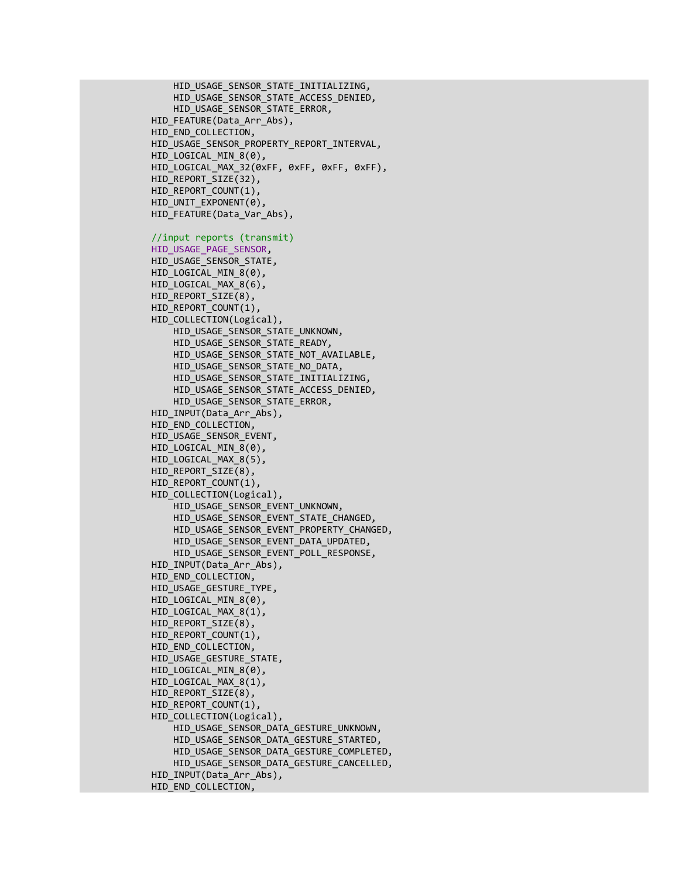```
 HID_USAGE_SENSOR_STATE_INITIALIZING,
     HID_USAGE_SENSOR_STATE_ACCESS_DENIED,
     HID_USAGE_SENSOR_STATE_ERROR,
 HID_FEATURE(Data_Arr_Abs),
HID END COLLECTION,
HID_USAGE_SENSOR_PROPERTY_REPORT_INTERVAL,
HID LOGICAL MIN 8(0),
HID LOGICAL MAX 32(0xFF, 0xFF, 0xFF, 0xFF),
HID_REPORT_SIZE(32),
HID_REPORT_COUNT(1),
 HID_UNIT_EXPONENT(0),
 HID_FEATURE(Data_Var_Abs),
 //input reports (transmit)
HID_USAGE_PAGE_SENSOR,
 HID_USAGE_SENSOR_STATE,
 HID_LOGICAL_MIN_8(0),
 HID_LOGICAL_MAX_8(6),
HID_REPORT_SIZE(8),
 HID_REPORT_COUNT(1),
 HID_COLLECTION(Logical),
     HID_USAGE_SENSOR_STATE_UNKNOWN,
     HID_USAGE_SENSOR_STATE_READY,
    HID_USAGE_SENSOR_STATE_NOT_AVAILABLE,
     HID_USAGE_SENSOR_STATE_NO_DATA,
    HID USAGE SENSOR STATE INITIALIZING,
    HID_USAGE_SENSOR_STATE_ACCESS_DENIED,
    HID_USAGE_SENSOR_STATE_ERROR,
 HID_INPUT(Data_Arr_Abs),
 HID_END_COLLECTION,
 HID_USAGE_SENSOR_EVENT,
 HID_LOGICAL_MIN_8(0),
 HID_LOGICAL_MAX_8(5),
HID REPORT SIZE(8),
HID_REPORT_COUNT(1),
 HID_COLLECTION(Logical),
    HID_USAGE_SENSOR_EVENT_UNKNOWN,
    HID_USAGE_SENSOR_EVENT_STATE_CHANGED,
    HID_USAGE_SENSOR_EVENT_PROPERTY_CHANGED,
    HID_USAGE_SENSOR_EVENT_DATA_UPDATED,
    HID_USAGE_SENSOR_EVENT_POLL_RESPONSE,
HID INPUT(Data Arr Abs),
HID END COLLECTION,
HID USAGE GESTURE TYPE,
HID LOGICAL MIN 8(0),
HID LOGICAL MAX 8(1),
HID REPORT SIZE(8),
HID_REPORT_COUNT(1),
HID END COLLECTION,
HID USAGE GESTURE STATE,
 HID_LOGICAL_MIN_8(0),
HID_LOGICAL_MAX_8(1),
HID_REPORT_SIZE(8),
HID_REPORT_COUNT(1),
HID COLLECTION(Logical),
    HID_USAGE_SENSOR_DATA_GESTURE_UNKNOWN,
    HID_USAGE_SENSOR_DATA_GESTURE_STARTED,
    HID USAGE SENSOR DATA GESTURE COMPLETED,
    HID USAGE SENSOR DATA GESTURE CANCELLED,
 HID_INPUT(Data_Arr_Abs),
 HID_END_COLLECTION,
```